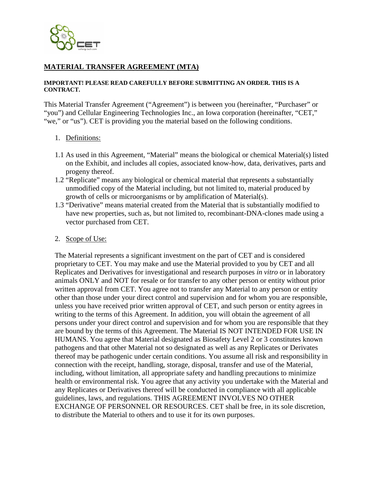

# **MATERIAL TRANSFER AGREEMENT (MTA)**

#### **IMPORTANT! PLEASE READ CAREFULLY BEFORE SUBMITTING AN ORDER. THIS IS A CONTRACT.**

This Material Transfer Agreement ("Agreement") is between you (hereinafter, "Purchaser" or "you") and Cellular Engineering Technologies Inc., an Iowa corporation (hereinafter, "CET," "we," or "us"). CET is providing you the material based on the following conditions.

- 1. Definitions:
- 1.1 As used in this Agreement, "Material" means the biological or chemical Material(s) listed on the Exhibit, and includes all copies, associated know-how, data, derivatives, parts and progeny thereof.
- 1.2 "Replicate" means any biological or chemical material that represents a substantially unmodified copy of the Material including, but not limited to, material produced by growth of cells or microorganisms or by amplification of Material(s).
- 1.3 "Derivative" means material created from the Material that is substantially modified to have new properties, such as, but not limited to, recombinant-DNA-clones made using a vector purchased from CET.
- 2. Scope of Use:

The Material represents a significant investment on the part of CET and is considered proprietary to CET. You may make and use the Material provided to you by CET and all Replicates and Derivatives for investigational and research purposes *in vitro* or in laboratory animals ONLY and NOT for resale or for transfer to any other person or entity without prior written approval from CET. You agree not to transfer any Material to any person or entity other than those under your direct control and supervision and for whom you are responsible, unless you have received prior written approval of CET, and such person or entity agrees in writing to the terms of this Agreement. In addition, you will obtain the agreement of all persons under your direct control and supervision and for whom you are responsible that they are bound by the terms of this Agreement. The Material IS NOT INTENDED FOR USE IN HUMANS. You agree that Material designated as Biosafety Level 2 or 3 constitutes known pathogens and that other Material not so designated as well as any Replicates or Derivates thereof may be pathogenic under certain conditions. You assume all risk and responsibility in connection with the receipt, handling, storage, disposal, transfer and use of the Material, including, without limitation, all appropriate safety and handling precautions to minimize health or environmental risk. You agree that any activity you undertake with the Material and any Replicates or Derivatives thereof will be conducted in compliance with all applicable guidelines, laws, and regulations. THIS AGREEMENT INVOLVES NO OTHER EXCHANGE OF PERSONNEL OR RESOURCES. CET shall be free, in its sole discretion, to distribute the Material to others and to use it for its own purposes.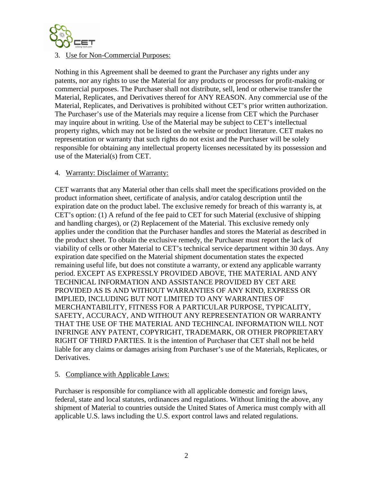

#### 3. Use for Non-Commercial Purposes:

Nothing in this Agreement shall be deemed to grant the Purchaser any rights under any patents, nor any rights to use the Material for any products or processes for profit-making or commercial purposes. The Purchaser shall not distribute, sell, lend or otherwise transfer the Material, Replicates, and Derivatives thereof for ANY REASON. Any commercial use of the Material, Replicates, and Derivatives is prohibited without CET's prior written authorization. The Purchaser's use of the Materials may require a license from CET which the Purchaser may inquire about in writing. Use of the Material may be subject to CET's intellectual property rights, which may not be listed on the website or product literature. CET makes no representation or warranty that such rights do not exist and the Purchaser will be solely responsible for obtaining any intellectual property licenses necessitated by its possession and use of the Material(s) from CET.

#### 4. Warranty: Disclaimer of Warranty:

CET warrants that any Material other than cells shall meet the specifications provided on the product information sheet, certificate of analysis, and/or catalog description until the expiration date on the product label. The exclusive remedy for breach of this warranty is, at CET's option: (1) A refund of the fee paid to CET for such Material (exclusive of shipping and handling charges), or (2) Replacement of the Material. This exclusive remedy only applies under the condition that the Purchaser handles and stores the Material as described in the product sheet. To obtain the exclusive remedy, the Purchaser must report the lack of viability of cells or other Material to CET's technical service department within 30 days. Any expiration date specified on the Material shipment documentation states the expected remaining useful life, but does not constitute a warranty, or extend any applicable warranty period. EXCEPT AS EXPRESSLY PROVIDED ABOVE, THE MATERIAL AND ANY TECHNICAL INFORMATION AND ASSISTANCE PROVIDED BY CET ARE PROVIDED AS IS AND WITHOUT WARRANTIES OF ANY KIND, EXPRESS OR IMPLIED, INCLUDING BUT NOT LIMITED TO ANY WARRANTIES OF MERCHANTABILITY, FITNESS FOR A PARTICULAR PURPOSE, TYPICALITY, SAFETY, ACCURACY, AND WITHOUT ANY REPRESENTATION OR WARRANTY THAT THE USE OF THE MATERIAL AND TECHINCAL INFORMATION WILL NOT INFRINGE ANY PATENT, COPYRIGHT, TRADEMARK, OR OTHER PROPRIETARY RIGHT OF THIRD PARTIES. It is the intention of Purchaser that CET shall not be held liable for any claims or damages arising from Purchaser's use of the Materials, Replicates, or Derivatives.

## 5. Compliance with Applicable Laws:

Purchaser is responsible for compliance with all applicable domestic and foreign laws, federal, state and local statutes, ordinances and regulations. Without limiting the above, any shipment of Material to countries outside the United States of America must comply with all applicable U.S. laws including the U.S. export control laws and related regulations.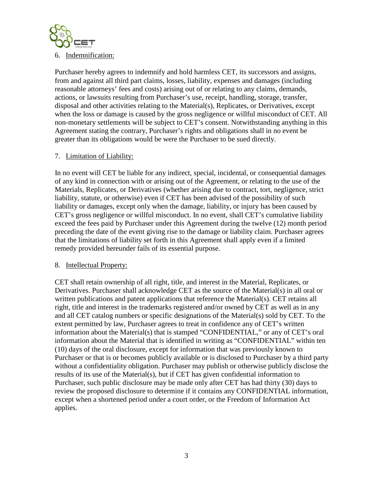

Purchaser hereby agrees to indemnify and hold harmless CET, its successors and assigns, from and against all third part claims, losses, liability, expenses and damages (including reasonable attorneys' fees and costs) arising out of or relating to any claims, demands, actions, or lawsuits resulting from Purchaser's use, receipt, handling, storage, transfer, disposal and other activities relating to the Material(s), Replicates, or Derivatives, except when the loss or damage is caused by the gross negligence or willful misconduct of CET. All non-monetary settlements will be subject to CET's consent. Notwithstanding anything in this Agreement stating the contrary, Purchaser's rights and obligations shall in no event be greater than its obligations would be were the Purchaser to be sued directly.

#### 7. Limitation of Liability:

In no event will CET be liable for any indirect, special, incidental, or consequential damages of any kind in connection with or arising out of the Agreement, or relating to the use of the Materials, Replicates, or Derivatives (whether arising due to contract, tort, negligence, strict liability, statute, or otherwise) even if CET has been advised of the possibility of such liability or damages, except only when the damage, liability, or injury has been caused by CET's gross negligence or willful misconduct. In no event, shall CET's cumulative liability exceed the fees paid by Purchaser under this Agreement during the twelve (12) month period preceding the date of the event giving rise to the damage or liability claim. Purchaser agrees that the limitations of liability set forth in this Agreement shall apply even if a limited remedy provided hereunder fails of its essential purpose.

#### 8. Intellectual Property:

CET shall retain ownership of all right, title, and interest in the Material, Replicates, or Derivatives. Purchaser shall acknowledge CET as the source of the Material(s) in all oral or written publications and patent applications that reference the Material(s). CET retains all right, title and interest in the trademarks registered and/or owned by CET as well as in any and all CET catalog numbers or specific designations of the Material(s) sold by CET. To the extent permitted by law, Purchaser agrees to treat in confidence any of CET's written information about the Material(s) that is stamped "CONFIDENTIAL," or any of CET's oral information about the Material that is identified in writing as "CONFIDENTIAL" within ten (10) days of the oral disclosure, except for information that was previously known to Purchaser or that is or becomes publicly available or is disclosed to Purchaser by a third party without a confidentiality obligation. Purchaser may publish or otherwise publicly disclose the results of its use of the Material(s), but if CET has given confidential information to Purchaser, such public disclosure may be made only after CET has had thirty (30) days to review the proposed disclosure to determine if it contains any CONFIDENTIAL information, except when a shortened period under a court order, or the Freedom of Information Act applies.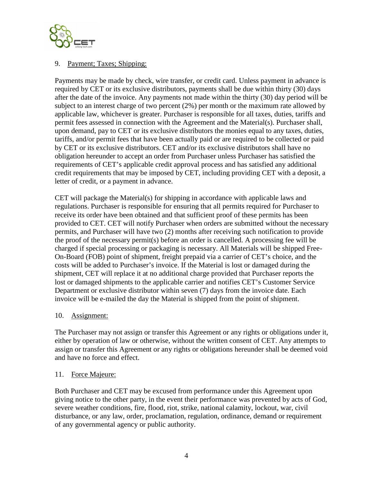

# 9. Payment; Taxes; Shipping:

Payments may be made by check, wire transfer, or credit card. Unless payment in advance is required by CET or its exclusive distributors, payments shall be due within thirty (30) days after the date of the invoice. Any payments not made within the thirty (30) day period will be subject to an interest charge of two percent (2%) per month or the maximum rate allowed by applicable law, whichever is greater. Purchaser is responsible for all taxes, duties, tariffs and permit fees assessed in connection with the Agreement and the Material(s). Purchaser shall, upon demand, pay to CET or its exclusive distributors the monies equal to any taxes, duties, tariffs, and/or permit fees that have been actually paid or are required to be collected or paid by CET or its exclusive distributors. CET and/or its exclusive distributors shall have no obligation hereunder to accept an order from Purchaser unless Purchaser has satisfied the requirements of CET's applicable credit approval process and has satisfied any additional credit requirements that may be imposed by CET, including providing CET with a deposit, a letter of credit, or a payment in advance.

CET will package the Material(s) for shipping in accordance with applicable laws and regulations. Purchaser is responsible for ensuring that all permits required for Purchaser to receive its order have been obtained and that sufficient proof of these permits has been provided to CET. CET will notify Purchaser when orders are submitted without the necessary permits, and Purchaser will have two (2) months after receiving such notification to provide the proof of the necessary permit(s) before an order is cancelled. A processing fee will be charged if special processing or packaging is necessary. All Materials will be shipped Free-On-Board (FOB) point of shipment, freight prepaid via a carrier of CET's choice, and the costs will be added to Purchaser's invoice. If the Material is lost or damaged during the shipment, CET will replace it at no additional charge provided that Purchaser reports the lost or damaged shipments to the applicable carrier and notifies CET's Customer Service Department or exclusive distributor within seven (7) days from the invoice date. Each invoice will be e-mailed the day the Material is shipped from the point of shipment.

## 10. Assignment:

The Purchaser may not assign or transfer this Agreement or any rights or obligations under it, either by operation of law or otherwise, without the written consent of CET. Any attempts to assign or transfer this Agreement or any rights or obligations hereunder shall be deemed void and have no force and effect.

## 11. Force Majeure:

Both Purchaser and CET may be excused from performance under this Agreement upon giving notice to the other party, in the event their performance was prevented by acts of God, severe weather conditions, fire, flood, riot, strike, national calamity, lockout, war, civil disturbance, or any law, order, proclamation, regulation, ordinance, demand or requirement of any governmental agency or public authority.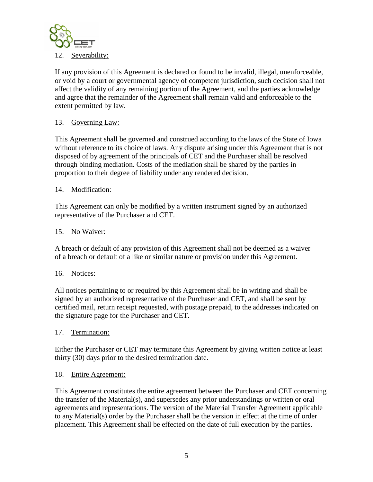

If any provision of this Agreement is declared or found to be invalid, illegal, unenforceable, or void by a court or governmental agency of competent jurisdiction, such decision shall not affect the validity of any remaining portion of the Agreement, and the parties acknowledge and agree that the remainder of the Agreement shall remain valid and enforceable to the extent permitted by law.

# 13. Governing Law:

This Agreement shall be governed and construed according to the laws of the State of Iowa without reference to its choice of laws. Any dispute arising under this Agreement that is not disposed of by agreement of the principals of CET and the Purchaser shall be resolved through binding mediation. Costs of the mediation shall be shared by the parties in proportion to their degree of liability under any rendered decision.

## 14. Modification:

This Agreement can only be modified by a written instrument signed by an authorized representative of the Purchaser and CET.

## 15. No Waiver:

A breach or default of any provision of this Agreement shall not be deemed as a waiver of a breach or default of a like or similar nature or provision under this Agreement.

## 16. Notices:

All notices pertaining to or required by this Agreement shall be in writing and shall be signed by an authorized representative of the Purchaser and CET, and shall be sent by certified mail, return receipt requested, with postage prepaid, to the addresses indicated on the signature page for the Purchaser and CET.

## 17. Termination:

Either the Purchaser or CET may terminate this Agreement by giving written notice at least thirty (30) days prior to the desired termination date.

## 18. Entire Agreement:

This Agreement constitutes the entire agreement between the Purchaser and CET concerning the transfer of the Material(s), and supersedes any prior understandings or written or oral agreements and representations. The version of the Material Transfer Agreement applicable to any Material(s) order by the Purchaser shall be the version in effect at the time of order placement. This Agreement shall be effected on the date of full execution by the parties.